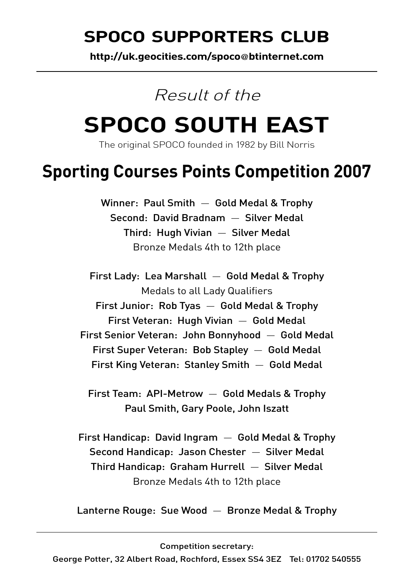## SPOCO SUPPORTERS CLUB

**http://uk.geocities.com/spoco**@**btinternet.com**

### Result of the

## **SPOCO SOUTH EAST**

The original SPOCO founded in 1982 by Bill Norris

## **Sporting Courses Points Competition 2007**

Winner: Paul Smith — Gold Medal & Trophy Second: David Bradnam — Silver Medal Third: Hugh Vivian — Silver Medal Bronze Medals 4th to 12th place

First Lady: Lea Marshall — Gold Medal & Trophy Medals to all Lady Qualifiers First Junior: Rob Tyas — Gold Medal & Trophy First Veteran: Hugh Vivian — Gold Medal First Senior Veteran: John Bonnyhood — Gold Medal First Super Veteran: Bob Stapley — Gold Medal First King Veteran: Stanley Smith — Gold Medal

First Team: API-Metrow — Gold Medals & Trophy Paul Smith, Gary Poole, John Iszatt

First Handicap: David Ingram — Gold Medal & Trophy Second Handicap: Jason Chester — Silver Medal Third Handicap: Graham Hurrell — Silver Medal Bronze Medals 4th to 12th place

Lanterne Rouge: Sue Wood — Bronze Medal & Trophy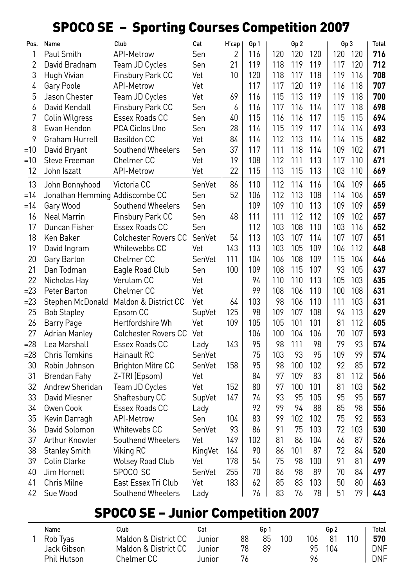#### SPOCO SE – Sporting Courses Competition 2007

| Pos.           | Name                           | Club                        | Cat     | H'cap      | Gp 1     |          | Gp 2 |           | Gp 3     |          | <b>Total</b> |
|----------------|--------------------------------|-----------------------------|---------|------------|----------|----------|------|-----------|----------|----------|--------------|
| 1              | Paul Smith                     | <b>API-Metrow</b>           | Sen     | 2          | 116      | 120      | 120  | 120       | 120      | 120      | 716          |
| $\overline{2}$ | David Bradnam                  | Team JD Cycles              | Sen     | 21         | 119      | 118      | 119  | 119       | 117      | 120      | 712          |
| 3              | Hugh Vivian                    | Finsbury Park CC            | Vet     | 10         | 120      | 118      | 117  | 118       | 119      | 116      | 708          |
| 4              | Gary Poole                     | <b>API-Metrow</b>           | Vet     |            | 117      | 117      | 120  | 119       | 116      | 118      | 707          |
| 5              | Jason Chester                  | Team JD Cycles              | Vet     | 69         | 116      | 115      | 113  | 119       | 119      | 118      | 700          |
| 6              | David Kendall                  | Finsbury Park CC            | Sen     | 6          | 116      | 117      | 116  | 114       | 117      | 118      | 698          |
| 7              | Colin Wilgress                 | Essex Roads CC              | Sen     | 40         | 115      | 116      | 116  | 117       | 115      | 115      | 694          |
| 8              | Ewan Hendon                    | PCA Ciclos Uno              | Sen     | 28         | 114      | 115      | 119  | 117       | 114      | 114      | 693          |
| 9              | Graham Hurrell                 | <b>Basildon CC</b>          | Vet     | 84         | 114      | 112      | 113  | 114       | 114      | 115      | 682          |
| $=10$          | David Bryant                   | Southend Wheelers           | Sen     | 37         | 117      | 111      | 118  | 114       | 109      | 102      | 671          |
| =10            | Steve Freeman                  | Chelmer CC                  | Vet     | 19         | 108      | 112      | 111  | 113       | 117      | 110      | 671          |
| 12             | John Iszatt                    | <b>API-Metrow</b>           | Vet     | 22         | 115      | 113      | 115  | 113       | 103      | 110      | 669          |
| 13             | John Bonnyhood                 | Victoria CC                 | SenVet  | 86         | 110      | 112      | 114  | 116       | 104      | 109      | 665          |
| $=14$          | Jonathan Hemming Addiscombe CC |                             | Sen     | 52         | 106      | 112      | 113  | 108       | 114      | 106      | 659          |
| $=14$          | Gary Wood                      | Southend Wheelers           | Sen     |            | 109      | 109      | 110  | 113       | 109      | 109      | 659          |
| 16             | <b>Neal Marrin</b>             | Finsbury Park CC            | Sen     | 48         | 111      | 111      | 112  | 112       | 109      | 102      | 657          |
| 17             | Duncan Fisher                  | Essex Roads CC              | Sen     |            | 112      | 103      | 108  | 110       | 103      | 116      | 652          |
| 18             | Ken Baker                      | <b>Colchester Rovers CC</b> | SenVet  | 54         | 113      | 103      | 107  | 114       | 107      | 107      | 651          |
| 19             | David Ingram                   | Whitewebbs CC               | Vet     | 143        | 113      | 103      | 105  | 109       | 106      | 112      | 648          |
| 20             | Gary Barton                    | Chelmer CC                  | SenVet  | 111        | 104      | 106      | 108  | 109       | 115      | 104      | 646          |
| 21             | Dan Todman                     | Eagle Road Club             | Sen     | 100        | 109      | 108      | 115  | 107       | 93       | 105      | 637          |
| 22             | Nicholas Hay                   | Verulam CC                  | Vet     |            | 94       | 110      | 110  | 113       | 105      | 103      | 635          |
| $= 23$         | Peter Barton                   | Chelmer <sub>CC</sub>       | Vet     |            | 99       | 108      | 106  | 110       | 100      | 108      | 631          |
| $= 23$         | Stephen McDonald               | Maldon & District CC        | Vet     | 64         | 103      | 98       | 106  | 110       | 111      | 103      | 631          |
| 25             | <b>Bob Stapley</b>             | Epsom CC                    | SupVet  | 125        | 98       | 109      | 107  | 108       | 94       | 113      | 629          |
| 26             | <b>Barry Page</b>              | Hertfordshire Wh            | Vet     | 109        | 105      | 105      | 101  | 101       | 81       | 112      | 605          |
| 27             | <b>Adrian Manley</b>           | <b>Colchester Rovers CC</b> | Vet     |            | 106      | 100      | 104  | 106       | 70       | 107      | 593          |
| $= 28$         | Lea Marshall                   | Essex Roads CC              | Lady    | 143        | 95       | 98       | 111  | 98        | 79       | 93       | 574          |
| $= 28$         | <b>Chris Tomkins</b>           | Hainault RC                 | SenVet  |            | 75       | 103      | 93   | 95        | 109      | 99       | 574          |
| 30             | Robin Johnson                  | <b>Brighton Mitre CC</b>    | SenVet  | 158        | 95       | 98       | 100  | 102       | 92       | 85       | 572          |
| 31             | <b>Brendan Fahy</b>            | Z-TRI (Epsom)               | Vet     |            | 84       | 97       | 109  | 83        | 81       | 112      | 566          |
| 32             | Andrew Sheridan                | Team JD Cycles              | Vet     | 152        | 80       | 97       | 100  | 101       | 81       | 103      | 562          |
| 33             | David Miesner                  | Shaftesbury CC              | SupVet  | 147        | 74       | 93       | 95   | 105       | 95       | 95       | 557          |
| 34             | Gwen Cook                      | Essex Roads CC              | Lady    |            | 92       | 99       | 94   | 88        | 85       | 98       | 556          |
| 35             | Kevin Darragh                  | <b>API-Metrow</b>           | Sen     | 104        | 83       | 99       | 102  | 102       | 75       | 92       | 553          |
| 36             | David Solomon                  | Whitewebs CC                | SenVet  | 93         | 86       | 91       | 75   | 103       | 72       | 103      | 530          |
| 37             | Arthur Knowler                 | Southend Wheelers           | Vet     | 149        | 102      | 81       | 86   | 104       | 66       | 87       | 526          |
| 38             | <b>Stanley Smith</b>           | Viking RC                   | KingVet | 164        | 90       | 86       | 101  | 87        | 72<br>91 | 84       | 520          |
| 39             | Colin Clarke                   | <b>Wolsey Road Club</b>     | Vet     | 178        | 54       | 75       | 98   | 100       |          | 81       | 499<br>497   |
| 40             | Jim Hornett                    | SPOCO SC                    | SenVet  | 255<br>183 | 70       | 86       | 98   | 89        | 70       | 84       | 463          |
| 41<br>42       | Chris Milne                    | East Essex Tri Club         | Vet     |            | 62<br>76 | 85<br>83 | 83   | 103<br>78 | 50<br>51 | 80<br>79 | 443          |
|                | Sue Wood                       | Southend Wheelers           | Lady    |            |          |          | 76   |           |          |          |              |

### SPOCO SE – Junior Competition 2007

| Name        | Club                 | Cat     |    | Gp 1 |     |     | Gp 2 |     | Total |
|-------------|----------------------|---------|----|------|-----|-----|------|-----|-------|
| Rob Tvas    | Maldon & District CC | Junior. | 88 | 85   | 100 | 106 | 81   | 110 | 570   |
| Jack Gibson | Maldon & District CC | Junior. | 78 | 89   |     | 95. | 104  |     | DNF   |
| Phil Hutson | Chelmer CC           | Junior  |    |      |     | 96  |      |     | DNF   |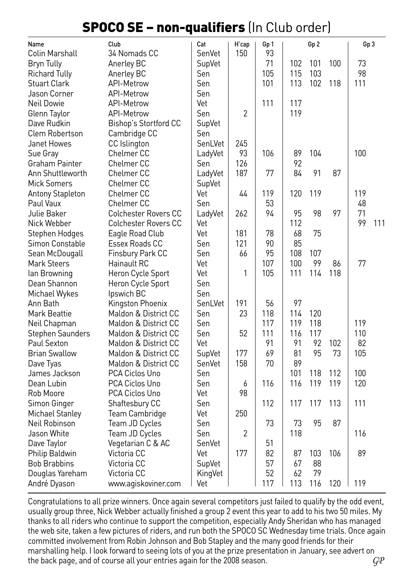#### SPOCO SE – non-qualifiers (In Club order)

| Name                            | Club                        | Cat     | H'cap          | Gp 1 |     | Gp <sub>2</sub> |     | Gp <sub>3</sub> |     |
|---------------------------------|-----------------------------|---------|----------------|------|-----|-----------------|-----|-----------------|-----|
| Colin Marshall                  | 34 Nomads CC                | SenVet  | 150            | 93   |     |                 |     |                 |     |
| <b>Bryn Tully</b><br>Anerley BC |                             | SupVet  |                | 71   | 102 | 101             | 100 | 73              |     |
| <b>Richard Tully</b>            | Anerley BC                  | Sen     |                | 105  | 115 | 103             |     | 98              |     |
| <b>Stuart Clark</b>             | <b>API-Metrow</b>           | Sen     |                | 101  | 113 | 102             | 118 | 111             |     |
| Jason Corner                    | API-Metrow                  | Sen     |                |      |     |                 |     |                 |     |
| Neil Dowie                      | <b>API-Metrow</b>           | Vet     |                | 111  | 117 |                 |     |                 |     |
| Glenn Taylor                    | <b>API-Metrow</b>           | Sen     | $\overline{2}$ |      | 119 |                 |     |                 |     |
| Dave Rudkin                     | Bishop's Stortford CC       | SupVet  |                |      |     |                 |     |                 |     |
| <b>Clem Robertson</b>           | Cambridge CC                | Sen     |                |      |     |                 |     |                 |     |
| Janet Howes                     | CC Islington                | SenLVet | 245            |      |     |                 |     |                 |     |
| Sue Gray                        | Chelmer CC                  | LadyVet | 93             | 106  | 89  | 104             |     | 100             |     |
| Graham Painter                  | Chelmer CC                  | Sen     | 126            |      | 92  |                 |     |                 |     |
| Ann Shuttleworth                | Chelmer CC                  | LadyVet | 187            | 77   | 84  | 91              | 87  |                 |     |
| <b>Mick Somers</b>              | Chelmer CC                  | SupVet  |                |      |     |                 |     |                 |     |
| <b>Antony Stapleton</b>         | Chelmer CC                  | Vet     | 44             | 119  | 120 | 119             |     | 119             |     |
| Paul Vaux                       | Chelmer CC                  | Sen     |                | 53   |     |                 |     | 48              |     |
| Julie Baker                     | <b>Colchester Rovers CC</b> | LadyVet | 262            | 94   | 95  | 98              | 97  | 71              |     |
| Nick Webber                     | <b>Colchester Rovers CC</b> | Vet     |                |      | 112 |                 |     | 99              | 111 |
| Stephen Hodges                  | Eagle Road Club             | Vet     | 181            | 78   | 68  | 75              |     |                 |     |
| Simon Constable                 | Essex Roads CC              | Sen     | 121            | 90   | 85  |                 |     |                 |     |
| Sean McDougall                  | Finsbury Park CC            | Sen     | 66             | 95   | 108 | 107             |     |                 |     |
| <b>Mark Steers</b>              | Hainault RC                 | Vet     |                | 107  | 100 | 99              | 86  | 77              |     |
| lan Browning                    | Heron Cycle Sport           | Vet     | 1              | 105  | 111 | 114             | 118 |                 |     |
| Dean Shannon                    | Heron Cycle Sport           | Sen     |                |      |     |                 |     |                 |     |
| Michael Wykes                   | Ipswich BC                  | Sen     |                |      |     |                 |     |                 |     |
| Ann Bath                        | Kingston Phoenix            | SenLVet | 191            | 56   | 97  |                 |     |                 |     |
| Mark Beattie                    | Maldon & District CC        | Sen     | 23             | 118  | 114 | 120             |     |                 |     |
| Neil Chapman                    | Maldon & District CC        | Sen     |                | 117  | 119 | 118             |     | 119             |     |
| <b>Stephen Saunders</b>         | Maldon & District CC        | Sen     | 52             | 111  | 116 | 117             |     | 110             |     |
| Paul Sexton                     | Maldon & District CC        | Vet     |                | 91   | 91  | 92              | 102 | 82              |     |
| <b>Brian Swallow</b>            | Maldon & District CC        | SupVet  | 177            | 69   | 81  | 95              | 73  | 105             |     |
| Dave Tyas                       | Maldon & District CC        | SenVet  | 158            | 70   | 89  |                 |     |                 |     |
| James Jackson                   | PCA Ciclos Uno              | Sen     |                |      | 101 | 118             | 112 | 100             |     |
| Dean Lubin                      | PCA Ciclos Uno              | Sen     | 6              | 116  | 116 | 119             | 119 | 120             |     |
| Rob Moore                       | PCA Ciclos Uno              | Vet     | 98             |      |     |                 |     |                 |     |
| Simon Ginger                    | Shaftesbury CC              | Sen     |                | 112  | 117 | 117             | 113 | 111             |     |
| Michael Stanley                 | Team Cambridge              | Vet     | 250            |      |     |                 |     |                 |     |
| Neil Robinson                   | Team JD Cycles              | Sen     |                | 73   | 73  | 95              | 87  |                 |     |
| Jason White                     | Team JD Cycles              | Sen     | 2              |      | 118 |                 |     | 116             |     |
| Dave Taylor                     | Vegetarian C & AC           | SenVet  |                | 51   |     |                 |     |                 |     |
| Philip Baldwin                  | Victoria CC                 | Vet     | 177            | 82   | 87  | 103             | 106 | 89              |     |
| <b>Bob Brabbins</b>             | Victoria CC                 | SupVet  |                | 57   | 67  | 88              |     |                 |     |
| Douglas Yareham                 | Victoria CC                 | KingVet |                | 52   | 62  | 79              |     |                 |     |
| André Dyason                    | www.agiskoviner.com         | Vet     |                | 117  | 113 | 116             | 120 | 119             |     |

Congratulations to all prize winners. Once again several competitors just failed to qualify by the odd event, usually group three, Nick Webber actually finished a group 2 event this year to add to his two 50 miles. My thanks to all riders who continue to support the competition, especially Andy Sheridan who has managed the web site, taken a few pictures of riders, and run both the SPOCO SC Wednesday time trials. Once again committed involvement from Robin Johnson and Bob Stapley and the many good friends for their marshalling help. I look forward to seeing lots of you at the prize presentation in January, see advert on the back page, and of course all your entries again for the 2008 season. *GP*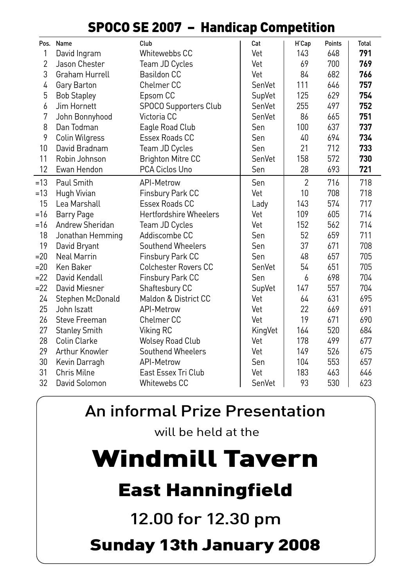|        |                      |                               | чr      |                |        |       |
|--------|----------------------|-------------------------------|---------|----------------|--------|-------|
|        | Pos. Name            | Club                          | Cat     | H'Cap          | Points | Total |
| 1      | David Ingram         | Whitewebbs CC                 | Vet     | 143            | 648    | 791   |
| 2      | Jason Chester        | Team JD Cycles                | Vet     | 69             | 700    | 769   |
| 3      | Graham Hurrell       | <b>Basildon CC</b>            | Vet     | 84             | 682    | 766   |
| 4      | Gary Barton          | Chelmer <sub>CC</sub>         | SenVet  | 111            | 646    | 757   |
| 5      | <b>Bob Stapley</b>   | Epsom CC                      | SupVet  | 125            | 629    | 754   |
| 6      | Jim Hornett          | SPOCO Supporters Club         | SenVet  | 255            | 497    | 752   |
| 7      | John Bonnyhood       | Victoria CC                   | SenVet  | 86             | 665    | 751   |
| 8      | Dan Todman           | Eagle Road Club               | Sen     | 100            | 637    | 737   |
| 9      | Colin Wilgress       | Essex Roads CC                | Sen     | 40             | 694    | 734   |
| 10     | David Bradnam        | Team JD Cycles                | Sen     | 21             | 712    | 733   |
| 11     | Robin Johnson        | <b>Brighton Mitre CC</b>      | SenVet  | 158            | 572    | 730   |
| 12     | Ewan Hendon          | PCA Ciclos Uno                | Sen     | 28             | 693    | 721   |
| $=13$  | Paul Smith           | API-Metrow                    | Sen     | $\overline{2}$ | 716    | 718   |
| =13    | Hugh Vivian          | Finsbury Park CC              | Vet     | 10             | 708    | 718   |
| 15     | Lea Marshall         | Essex Roads CC                | Lady    | 143            | 574    | 717   |
| $=16$  | Barry Page           | <b>Hertfordshire Wheelers</b> | Vet     | 109            | 605    | 714   |
| $=16$  | Andrew Sheridan      | Team JD Cycles                | Vet     | 152            | 562    | 714   |
| 18     | Jonathan Hemming     | Addiscombe CC                 | Sen     | 52             | 659    | 711   |
| 19     | David Bryant         | Southend Wheelers             | Sen     | 37             | 671    | 708   |
| $= 20$ | <b>Neal Marrin</b>   | Finsbury Park CC              | Sen     | 48             | 657    | 705   |
| $= 20$ | Ken Baker            | <b>Colchester Rovers CC</b>   | SenVet  | 54             | 651    | 705   |
| $= 22$ | David Kendall        | Finsbury Park CC              | Sen     | 6              | 698    | 704   |
| $=22$  | David Miesner        | Shaftesbury CC                | SupVet  | 147            | 557    | 704   |
| 24     | Stephen McDonald     | Maldon & District CC          | Vet     | 64             | 631    | 695   |
| 25     | John Iszatt          | API-Metrow                    | Vet     | 22             | 669    | 691   |
| 26     | Steve Freeman        | Chelmer <sub>CC</sub>         | Vet     | 19             | 671    | 690   |
| 27     | <b>Stanley Smith</b> | Viking RC                     | KingVet | 164            | 520    | 684   |
| 28     | Colin Clarke         | <b>Wolsey Road Club</b>       | Vet     | 178            | 499    | 677   |
| 29     | Arthur Knowler       | Southend Wheelers             | Vet     | 149            | 526    | 675   |
| 30     | Kevin Darragh        | API-Metrow                    | Sen     | 104            | 553    | 657   |
| 31     | Chris Milne          | East Essex Tri Club           | Vet     | 183            | 463    | 646   |
| 32     | David Solomon        | Whitewebs CC                  | SenVet  | 93             | 530    | 623   |

#### SPOCO SE 2007 – Handicap Competition

An informal Prize Presentation

will be held at the

# Windmill Tavern

## East Hanningfield

12.00 for 12.30 pm

## Sunday 13th January 2008